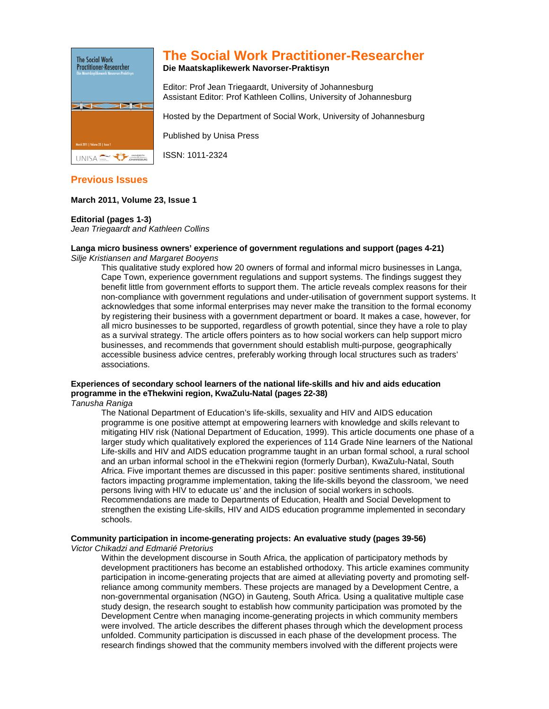

# **The Social Work Practitioner-Researcher**

### **Die Maatskaplikewerk Navorser-Praktisyn**

Editor: Prof Jean Triegaardt, University of Johannesburg Assistant Editor: Prof Kathleen Collins, University of Johannesburg

Hosted by the Department of Social Work, University of Johannesburg

Published by Unisa Press

ISSN: 1011-2324

# **Previous Issues**

# **March 2011, Volume 23, Issue 1**

## **Editorial (pages 1-3)**

Jean Triegaardt and Kathleen Collins

# **Langa micro business owners' experience of government regulations and support (pages 4-21)**

Silie Kristiansen and Margaret Boovens

This qualitative study explored how 20 owners of formal and informal micro businesses in Langa, Cape Town, experience government regulations and support systems. The findings suggest they benefit little from government efforts to support them. The article reveals complex reasons for their non-compliance with government regulations and under-utilisation of government support systems. It acknowledges that some informal enterprises may never make the transition to the formal economy by registering their business with a government department or board. It makes a case, however, for all micro businesses to be supported, regardless of growth potential, since they have a role to play as a survival strategy. The article offers pointers as to how social workers can help support micro businesses, and recommends that government should establish multi-purpose, geographically accessible business advice centres, preferably working through local structures such as traders' associations.

# **Experiences of secondary school learners of the national life-skills and hiv and aids education programme in the eThekwini region, KwaZulu-Natal (pages 22-38)**

Tanusha Raniga

The National Department of Education's life-skills, sexuality and HIV and AIDS education programme is one positive attempt at empowering learners with knowledge and skills relevant to mitigating HIV risk (National Department of Education, 1999). This article documents one phase of a larger study which qualitatively explored the experiences of 114 Grade Nine learners of the National Life-skills and HIV and AIDS education programme taught in an urban formal school, a rural school and an urban informal school in the eThekwini region (formerly Durban), KwaZulu-Natal, South Africa. Five important themes are discussed in this paper: positive sentiments shared, institutional factors impacting programme implementation, taking the life-skills beyond the classroom, 'we need persons living with HIV to educate us' and the inclusion of social workers in schools. Recommendations are made to Departments of Education, Health and Social Development to strengthen the existing Life-skills, HIV and AIDS education programme implemented in secondary schools.

#### **Community participation in income-generating projects: An evaluative study (pages 39-56)**  Victor Chikadzi and Edmarié Pretorius

Within the development discourse in South Africa, the application of participatory methods by development practitioners has become an established orthodoxy. This article examines community participation in income-generating projects that are aimed at alleviating poverty and promoting selfreliance among community members. These projects are managed by a Development Centre, a non-governmental organisation (NGO) in Gauteng, South Africa. Using a qualitative multiple case study design, the research sought to establish how community participation was promoted by the Development Centre when managing income-generating projects in which community members were involved. The article describes the different phases through which the development process unfolded. Community participation is discussed in each phase of the development process. The research findings showed that the community members involved with the different projects were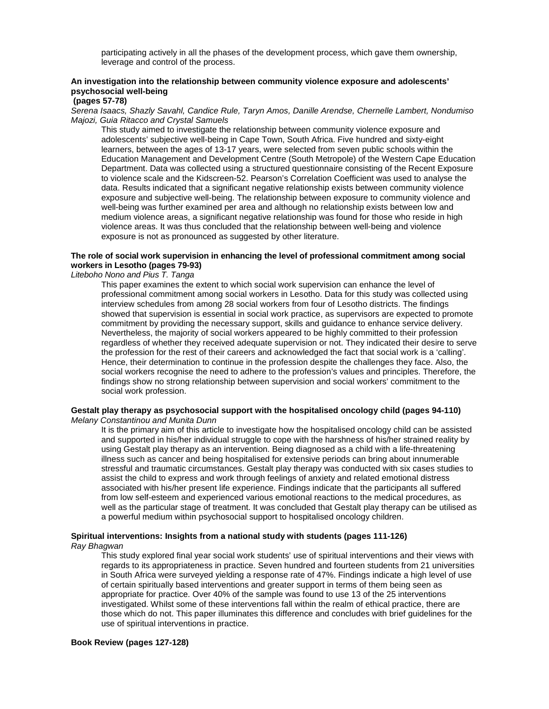participating actively in all the phases of the development process, which gave them ownership, leverage and control of the process.

# **An investigation into the relationship between community violence exposure and adolescents' psychosocial well-being**

### **(pages 57-78)**

Serena Isaacs, Shazly Savahl, Candice Rule, Taryn Amos, Danille Arendse, Chernelle Lambert, Nondumiso Majozi, Guia Ritacco and Crystal Samuels

This study aimed to investigate the relationship between community violence exposure and adolescents' subjective well-being in Cape Town, South Africa. Five hundred and sixty-eight learners, between the ages of 13-17 years, were selected from seven public schools within the Education Management and Development Centre (South Metropole) of the Western Cape Education Department. Data was collected using a structured questionnaire consisting of the Recent Exposure to violence scale and the Kidscreen-52. Pearson's Correlation Coefficient was used to analyse the data. Results indicated that a significant negative relationship exists between community violence exposure and subjective well-being. The relationship between exposure to community violence and well-being was further examined per area and although no relationship exists between low and medium violence areas, a significant negative relationship was found for those who reside in high violence areas. It was thus concluded that the relationship between well-being and violence exposure is not as pronounced as suggested by other literature.

# **The role of social work supervision in enhancing the level of professional commitment among social workers in Lesotho (pages 79-93)**

Liteboho Nono and Pius T. Tanga

This paper examines the extent to which social work supervision can enhance the level of professional commitment among social workers in Lesotho. Data for this study was collected using interview schedules from among 28 social workers from four of Lesotho districts. The findings showed that supervision is essential in social work practice, as supervisors are expected to promote commitment by providing the necessary support, skills and guidance to enhance service delivery. Nevertheless, the majority of social workers appeared to be highly committed to their profession regardless of whether they received adequate supervision or not. They indicated their desire to serve the profession for the rest of their careers and acknowledged the fact that social work is a 'calling'. Hence, their determination to continue in the profession despite the challenges they face. Also, the social workers recognise the need to adhere to the profession's values and principles. Therefore, the findings show no strong relationship between supervision and social workers' commitment to the social work profession.

#### **Gestalt play therapy as psychosocial support with the hospitalised oncology child (pages 94-110)**  Melany Constantinou and Munita Dunn

It is the primary aim of this article to investigate how the hospitalised oncology child can be assisted and supported in his/her individual struggle to cope with the harshness of his/her strained reality by using Gestalt play therapy as an intervention. Being diagnosed as a child with a life-threatening illness such as cancer and being hospitalised for extensive periods can bring about innumerable stressful and traumatic circumstances. Gestalt play therapy was conducted with six cases studies to assist the child to express and work through feelings of anxiety and related emotional distress associated with his/her present life experience. Findings indicate that the participants all suffered from low self-esteem and experienced various emotional reactions to the medical procedures, as well as the particular stage of treatment. It was concluded that Gestalt play therapy can be utilised as a powerful medium within psychosocial support to hospitalised oncology children.

### **Spiritual interventions: Insights from a national study with students (pages 111-126)**  Ray Bhagwan

This study explored final year social work students' use of spiritual interventions and their views with regards to its appropriateness in practice. Seven hundred and fourteen students from 21 universities in South Africa were surveyed yielding a response rate of 47%. Findings indicate a high level of use of certain spiritually based interventions and greater support in terms of them being seen as appropriate for practice. Over 40% of the sample was found to use 13 of the 25 interventions investigated. Whilst some of these interventions fall within the realm of ethical practice, there are those which do not. This paper illuminates this difference and concludes with brief guidelines for the use of spiritual interventions in practice.

#### **Book Review (pages 127-128)**